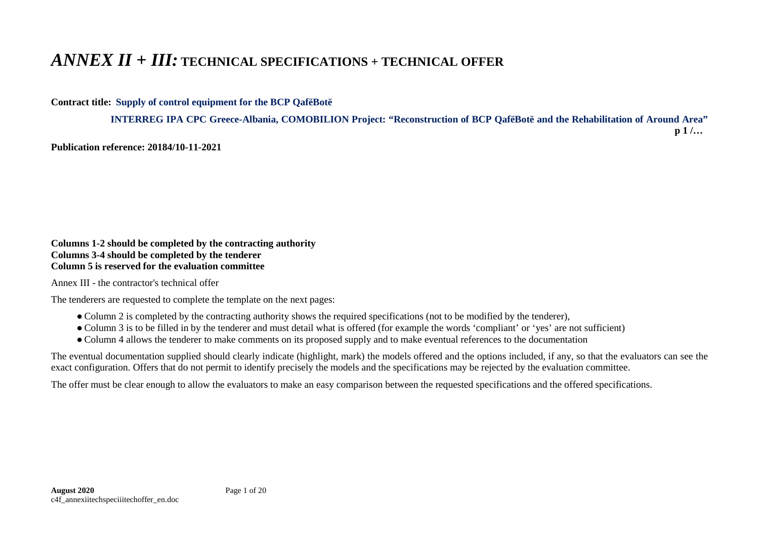## *ANNEX II + III:* **TECHNICAL SPECIFICATIONS + TECHNICAL OFFER**

**Contract title: Supply of control equipment for the BCP QafëBotë**

 **INTERREG IPA CPC Greece-Albania, COMOBILION Project: "Reconstruction of BCP QafëBotë and the Rehabilitation of Around Area" p 1 /…**

**Publication reference: 20184/10-11-2021**

## **Columns 1-2 should be completed by the contracting authority Columns 3-4 should be completed by the tenderer Column 5 is reserved for the evaluation committee**

Annex III - the contractor's technical offer

The tenderers are requested to complete the template on the next pages:

- Column 2 is completed by the contracting authority shows the required specifications (not to be modified by the tenderer),
- Column 3 is to be filled in by the tenderer and must detail what is offered (for example the words 'compliant' or 'yes' are not sufficient)
- Column 4 allows the tenderer to make comments on its proposed supply and to make eventual references to the documentation

The eventual documentation supplied should clearly indicate (highlight, mark) the models offered and the options included, if any, so that the evaluators can see the exact configuration. Offers that do not permit to identify precisely the models and the specifications may be rejected by the evaluation committee.

The offer must be clear enough to allow the evaluators to make an easy comparison between the requested specifications and the offered specifications.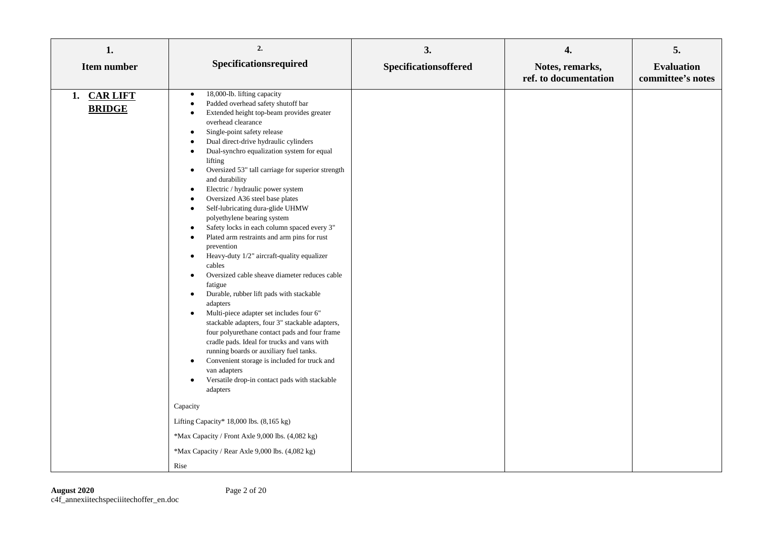| 1.<br>Item number            | 2.<br>Specificationsrequired                                                                                                                                                                                                                                                                                                                                                                                                                                                                                                                                                                                                                                                                                                                                                                                                                                                                                                                                                                                                                                                                                                                                                                                                                                                                                                                                                                                                                                                                                                                            | 3.<br>Specificationsoffered | 4.<br>Notes, remarks, | 5.<br><b>Evaluation</b> |
|------------------------------|---------------------------------------------------------------------------------------------------------------------------------------------------------------------------------------------------------------------------------------------------------------------------------------------------------------------------------------------------------------------------------------------------------------------------------------------------------------------------------------------------------------------------------------------------------------------------------------------------------------------------------------------------------------------------------------------------------------------------------------------------------------------------------------------------------------------------------------------------------------------------------------------------------------------------------------------------------------------------------------------------------------------------------------------------------------------------------------------------------------------------------------------------------------------------------------------------------------------------------------------------------------------------------------------------------------------------------------------------------------------------------------------------------------------------------------------------------------------------------------------------------------------------------------------------------|-----------------------------|-----------------------|-------------------------|
|                              |                                                                                                                                                                                                                                                                                                                                                                                                                                                                                                                                                                                                                                                                                                                                                                                                                                                                                                                                                                                                                                                                                                                                                                                                                                                                                                                                                                                                                                                                                                                                                         |                             | ref. to documentation | committee's notes       |
| 1. CAR LIFT<br><b>BRIDGE</b> | 18,000-lb. lifting capacity<br>$\bullet$<br>Padded overhead safety shutoff bar<br>$\bullet$<br>Extended height top-beam provides greater<br>$\bullet$<br>overhead clearance<br>Single-point safety release<br>$\bullet$<br>Dual direct-drive hydraulic cylinders<br>$\bullet$<br>Dual-synchro equalization system for equal<br>$\bullet$<br>lifting<br>Oversized 53" tall carriage for superior strength<br>$\bullet$<br>and durability<br>Electric / hydraulic power system<br>٠<br>Oversized A36 steel base plates<br>$\bullet$<br>Self-lubricating dura-glide UHMW<br>$\bullet$<br>polyethylene bearing system<br>Safety locks in each column spaced every 3"<br>$\bullet$<br>Plated arm restraints and arm pins for rust<br>$\bullet$<br>prevention<br>Heavy-duty 1/2" aircraft-quality equalizer<br>$\bullet$<br>cables<br>Oversized cable sheave diameter reduces cable<br>$\bullet$<br>fatigue<br>Durable, rubber lift pads with stackable<br>$\bullet$<br>adapters<br>Multi-piece adapter set includes four 6"<br>$\bullet$<br>stackable adapters, four 3" stackable adapters,<br>four polyurethane contact pads and four frame<br>cradle pads. Ideal for trucks and vans with<br>running boards or auxiliary fuel tanks.<br>Convenient storage is included for truck and<br>$\bullet$<br>van adapters<br>Versatile drop-in contact pads with stackable<br>٠<br>adapters<br>Capacity<br>Lifting Capacity* 18,000 lbs. (8,165 kg)<br>*Max Capacity / Front Axle 9,000 lbs. (4,082 kg)<br>*Max Capacity / Rear Axle 9,000 lbs. (4,082 kg)<br>Rise |                             |                       |                         |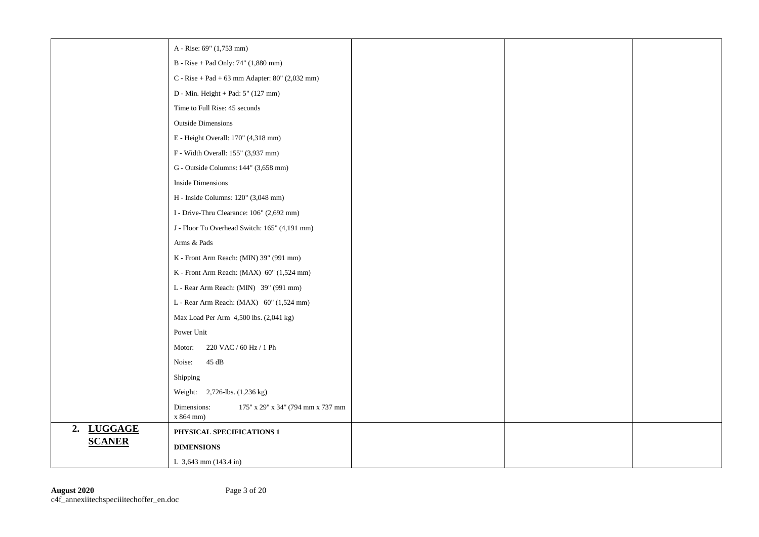|               | A - Rise: 69" (1,753 mm)                                        |  |  |
|---------------|-----------------------------------------------------------------|--|--|
|               | B - Rise + Pad Only: 74" (1,880 mm)                             |  |  |
|               | C - Rise + Pad + 63 mm Adapter: $80^{\circ}$ (2,032 mm)         |  |  |
|               | D - Min. Height + Pad: 5" (127 mm)                              |  |  |
|               | Time to Full Rise: 45 seconds                                   |  |  |
|               | <b>Outside Dimensions</b>                                       |  |  |
|               | E - Height Overall: 170" (4,318 mm)                             |  |  |
|               | F - Width Overall: 155" (3,937 mm)                              |  |  |
|               | G - Outside Columns: 144" (3,658 mm)                            |  |  |
|               | <b>Inside Dimensions</b>                                        |  |  |
|               | H - Inside Columns: 120" (3,048 mm)                             |  |  |
|               | I - Drive-Thru Clearance: 106" (2,692 mm)                       |  |  |
|               | J - Floor To Overhead Switch: 165" (4,191 mm)                   |  |  |
|               | Arms & Pads                                                     |  |  |
|               | K - Front Arm Reach: (MIN) 39" (991 mm)                         |  |  |
|               | K - Front Arm Reach: (MAX) 60" (1,524 mm)                       |  |  |
|               | L - Rear Arm Reach: (MIN) 39" (991 mm)                          |  |  |
|               | L - Rear Arm Reach: $(MAX)$ 60" $(1,524$ mm)                    |  |  |
|               | Max Load Per Arm 4,500 lbs. (2,041 kg)                          |  |  |
|               | Power Unit                                                      |  |  |
|               | 220 VAC / 60 Hz / 1 Ph<br>Motor:                                |  |  |
|               | 45 dB<br>Noise:                                                 |  |  |
|               | Shipping                                                        |  |  |
|               | Weight: 2,726-lbs. (1,236 kg)                                   |  |  |
|               | Dimensions:<br>175" x 29" x 34" (794 mm x 737 mm<br>$x 864$ mm) |  |  |
| 2. LUGGAGE    | PHYSICAL SPECIFICATIONS 1                                       |  |  |
| <b>SCANER</b> | <b>DIMENSIONS</b>                                               |  |  |
|               | L 3,643 mm (143.4 in)                                           |  |  |

L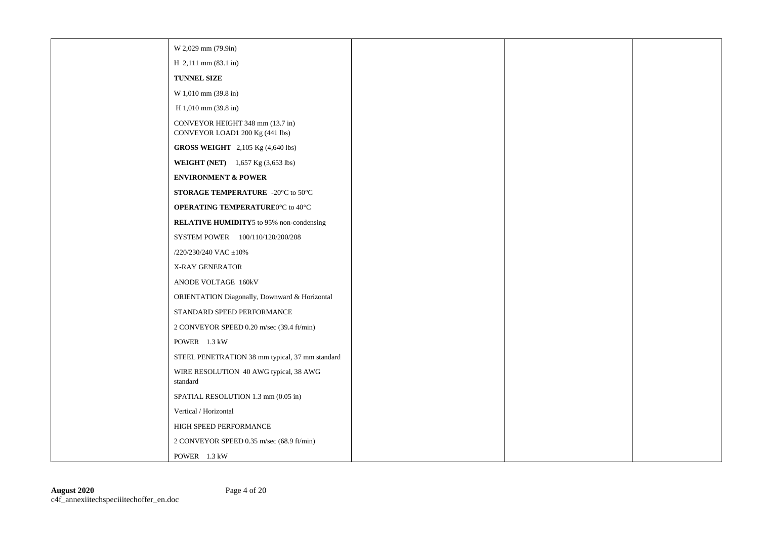| W 2,029 mm (79.9in)                                                 |  |  |
|---------------------------------------------------------------------|--|--|
| H 2,111 mm (83.1 in)                                                |  |  |
| TUNNEL SIZE                                                         |  |  |
| W 1,010 mm (39.8 in)                                                |  |  |
| H 1,010 mm (39.8 in)                                                |  |  |
| CONVEYOR HEIGHT 348 mm (13.7 in)<br>CONVEYOR LOAD1 200 Kg (441 lbs) |  |  |
| <b>GROSS WEIGHT</b> 2,105 Kg (4,640 lbs)                            |  |  |
| <b>WEIGHT (NET)</b> 1,657 Kg (3,653 lbs)                            |  |  |
| <b>ENVIRONMENT &amp; POWER</b>                                      |  |  |
| STORAGE TEMPERATURE -20°C to 50°C                                   |  |  |
| <b>OPERATING TEMPERATURE0°C</b> to 40°C                             |  |  |
| <b>RELATIVE HUMIDITY5</b> to 95% non-condensing                     |  |  |
| SYSTEM POWER 100/110/120/200/208                                    |  |  |
| /220/230/240 VAC ±10%                                               |  |  |
| X-RAY GENERATOR                                                     |  |  |
| ANODE VOLTAGE 160kV                                                 |  |  |
| ORIENTATION Diagonally, Downward & Horizontal                       |  |  |
| STANDARD SPEED PERFORMANCE                                          |  |  |
| 2 CONVEYOR SPEED 0.20 m/sec (39.4 ft/min)                           |  |  |
| POWER 1.3 kW                                                        |  |  |
| STEEL PENETRATION 38 mm typical, 37 mm standard                     |  |  |
| WIRE RESOLUTION 40 AWG typical, 38 AWG<br>standard                  |  |  |
| SPATIAL RESOLUTION 1.3 mm (0.05 in)                                 |  |  |
| Vertical / Horizontal                                               |  |  |
| HIGH SPEED PERFORMANCE                                              |  |  |
| 2 CONVEYOR SPEED 0.35 m/sec (68.9 ft/min)                           |  |  |
| POWER 1.3 kW                                                        |  |  |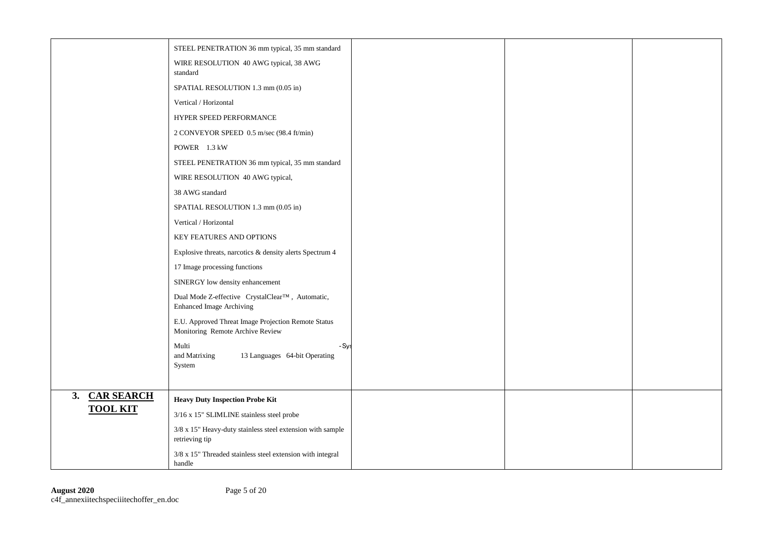|                 | STEEL PENETRATION 36 mm typical, 35 mm standard                                                  |  |  |
|-----------------|--------------------------------------------------------------------------------------------------|--|--|
|                 | WIRE RESOLUTION 40 AWG typical, 38 AWG<br>standard                                               |  |  |
|                 | SPATIAL RESOLUTION 1.3 mm (0.05 in)                                                              |  |  |
|                 | Vertical / Horizontal                                                                            |  |  |
|                 | HYPER SPEED PERFORMANCE                                                                          |  |  |
|                 | 2 CONVEYOR SPEED 0.5 m/sec (98.4 ft/min)                                                         |  |  |
|                 | POWER 1.3 kW                                                                                     |  |  |
|                 | STEEL PENETRATION 36 mm typical, 35 mm standard                                                  |  |  |
|                 | WIRE RESOLUTION 40 AWG typical,                                                                  |  |  |
|                 | 38 AWG standard                                                                                  |  |  |
|                 | SPATIAL RESOLUTION 1.3 mm (0.05 in)                                                              |  |  |
|                 | Vertical / Horizontal                                                                            |  |  |
|                 | KEY FEATURES AND OPTIONS                                                                         |  |  |
|                 | Explosive threats, narcotics & density alerts Spectrum 4                                         |  |  |
|                 | 17 Image processing functions                                                                    |  |  |
|                 | SINERGY low density enhancement                                                                  |  |  |
|                 | Dual Mode Z-effective CrystalClear <sup>TM</sup> , Automatic,<br><b>Enhanced Image Archiving</b> |  |  |
|                 | E.U. Approved Threat Image Projection Remote Status<br>Monitoring Remote Archive Review          |  |  |
|                 | Multi<br>- Sys<br>and Matrixing<br>13 Languages 64-bit Operating<br>System                       |  |  |
| 3. CAR SEARCH   | <b>Heavy Duty Inspection Probe Kit</b>                                                           |  |  |
| <b>TOOL KIT</b> | 3/16 x 15" SLIMLINE stainless steel probe                                                        |  |  |
|                 | 3/8 x 15" Heavy-duty stainless steel extension with sample<br>retrieving tip                     |  |  |
|                 | 3/8 x 15" Threaded stainless steel extension with integral<br>handle                             |  |  |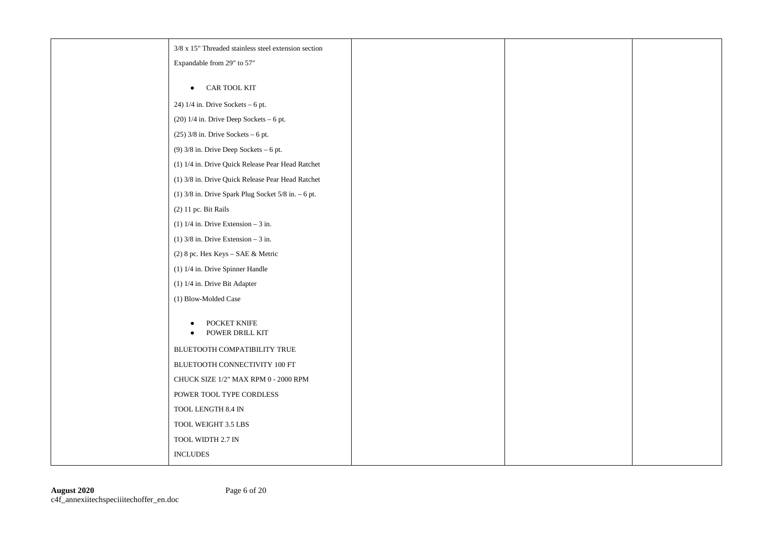| $3/8$ x $15$ " Threaded stainless steel extension section |  |  |
|-----------------------------------------------------------|--|--|
| Expandable from 29" to 57"                                |  |  |
|                                                           |  |  |
| CAR TOOL KIT<br>$\bullet$                                 |  |  |
| 24) $1/4$ in. Drive Sockets - 6 pt.                       |  |  |
| $(20)$ 1/4 in. Drive Deep Sockets - 6 pt.                 |  |  |
| $(25)$ 3/8 in. Drive Sockets – 6 pt.                      |  |  |
| $(9)$ 3/8 in. Drive Deep Sockets - 6 pt.                  |  |  |
| (1) 1/4 in. Drive Quick Release Pear Head Ratchet         |  |  |
| (1) 3/8 in. Drive Quick Release Pear Head Ratchet         |  |  |
| $(1)$ 3/8 in. Drive Spark Plug Socket 5/8 in. - 6 pt.     |  |  |
| (2) 11 pc. Bit Rails                                      |  |  |
| (1) $1/4$ in. Drive Extension - 3 in.                     |  |  |
| $(1)$ 3/8 in. Drive Extension – 3 in.                     |  |  |
| (2) 8 pc. Hex Keys - SAE & Metric                         |  |  |
| (1) 1/4 in. Drive Spinner Handle                          |  |  |
| (1) 1/4 in. Drive Bit Adapter                             |  |  |
| (1) Blow-Molded Case                                      |  |  |
| POCKET KNIFE<br>POWER DRILL KIT<br>$\bullet$              |  |  |
| BLUETOOTH COMPATIBILITY TRUE                              |  |  |
| BLUETOOTH CONNECTIVITY 100 FT                             |  |  |
| CHUCK SIZE $1/2$ " MAX RPM $0$ - $2000$ RPM               |  |  |
| POWER TOOL TYPE CORDLESS                                  |  |  |
| TOOL LENGTH $8.4\ \mathrm{IN}$                            |  |  |
| TOOL WEIGHT 3.5 LBS                                       |  |  |
| TOOL WIDTH 2.7 IN                                         |  |  |
| <b>INCLUDES</b>                                           |  |  |
|                                                           |  |  |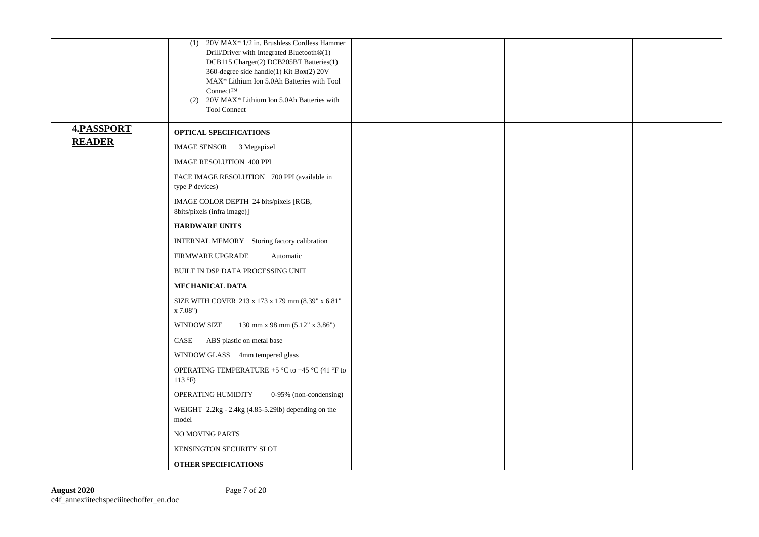|               | (1) 20V MAX* 1/2 in. Brushless Cordless Hammer<br>Drill/Driver with Integrated Bluetooth®(1)<br>DCB115 Charger(2) DCB205BT Batteries(1)<br>360-degree side handle(1) Kit Box(2) 20V<br>MAX* Lithium Ion 5.0Ah Batteries with Tool<br>$Connect^{TM}$<br>(2) 20V MAX* Lithium Ion 5.0Ah Batteries with<br><b>Tool Connect</b> |  |  |
|---------------|-----------------------------------------------------------------------------------------------------------------------------------------------------------------------------------------------------------------------------------------------------------------------------------------------------------------------------|--|--|
| 4.PASSPORT    | <b>OPTICAL SPECIFICATIONS</b>                                                                                                                                                                                                                                                                                               |  |  |
| <b>READER</b> | IMAGE SENSOR 3 Megapixel                                                                                                                                                                                                                                                                                                    |  |  |
|               | <b>IMAGE RESOLUTION 400 PPI</b>                                                                                                                                                                                                                                                                                             |  |  |
|               | FACE IMAGE RESOLUTION 700 PPI (available in<br>type P devices)                                                                                                                                                                                                                                                              |  |  |
|               | IMAGE COLOR DEPTH 24 bits/pixels [RGB,<br>8bits/pixels (infra image)]                                                                                                                                                                                                                                                       |  |  |
|               | <b>HARDWARE UNITS</b>                                                                                                                                                                                                                                                                                                       |  |  |
|               | INTERNAL MEMORY Storing factory calibration                                                                                                                                                                                                                                                                                 |  |  |
|               | FIRMWARE UPGRADE<br>Automatic                                                                                                                                                                                                                                                                                               |  |  |
|               | BUILT IN DSP DATA PROCESSING UNIT                                                                                                                                                                                                                                                                                           |  |  |
|               | MECHANICAL DATA                                                                                                                                                                                                                                                                                                             |  |  |
|               | SIZE WITH COVER 213 x 173 x 179 mm (8.39" x 6.81"<br>x 7.08")                                                                                                                                                                                                                                                               |  |  |
|               | <b>WINDOW SIZE</b><br>130 mm x 98 mm (5.12" x 3.86")                                                                                                                                                                                                                                                                        |  |  |
|               | CASE<br>ABS plastic on metal base                                                                                                                                                                                                                                                                                           |  |  |
|               | WINDOW GLASS 4mm tempered glass                                                                                                                                                                                                                                                                                             |  |  |
|               | OPERATING TEMPERATURE +5 °C to +45 °C (41 °F to<br>$113 \text{ }^{\circ}F$ )                                                                                                                                                                                                                                                |  |  |
|               | OPERATING HUMIDITY<br>0-95% (non-condensing)                                                                                                                                                                                                                                                                                |  |  |
|               | WEIGHT 2.2kg - 2.4kg (4.85-5.29lb) depending on the<br>model                                                                                                                                                                                                                                                                |  |  |
|               | NO MOVING PARTS                                                                                                                                                                                                                                                                                                             |  |  |
|               | KENSINGTON SECURITY SLOT                                                                                                                                                                                                                                                                                                    |  |  |
|               | <b>OTHER SPECIFICATIONS</b>                                                                                                                                                                                                                                                                                                 |  |  |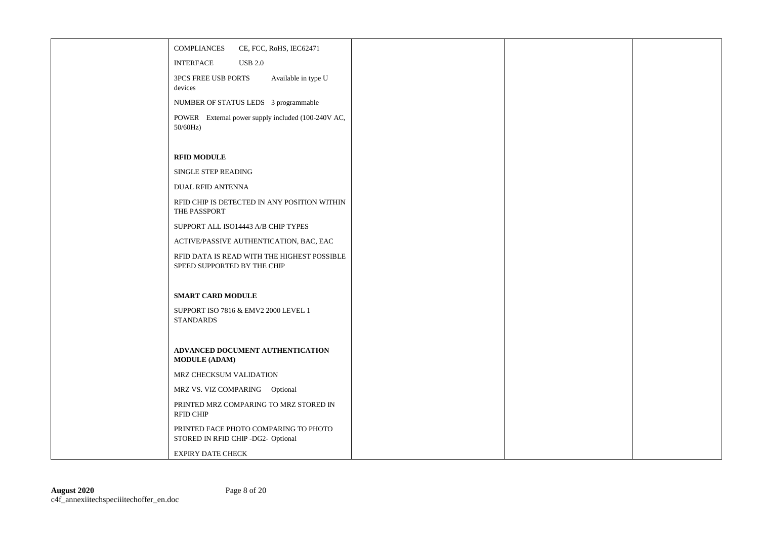| COMPLIANCES<br>CE, FCC, RoHS, IEC62471                                      |  |  |
|-----------------------------------------------------------------------------|--|--|
| <b>INTERFACE</b><br><b>USB 2.0</b>                                          |  |  |
| 3PCS FREE USB PORTS<br>Available in type U<br>devices                       |  |  |
| NUMBER OF STATUS LEDS 3 programmable                                        |  |  |
| POWER External power supply included (100-240V AC,<br>$50/60$ Hz)           |  |  |
|                                                                             |  |  |
| <b>RFID MODULE</b>                                                          |  |  |
| SINGLE STEP READING                                                         |  |  |
| <b>DUAL RFID ANTENNA</b>                                                    |  |  |
| RFID CHIP IS DETECTED IN ANY POSITION WITHIN<br>THE PASSPORT                |  |  |
| SUPPORT ALL ISO14443 A/B CHIP TYPES                                         |  |  |
| ACTIVE/PASSIVE AUTHENTICATION, BAC, EAC                                     |  |  |
| RFID DATA IS READ WITH THE HIGHEST POSSIBLE<br>SPEED SUPPORTED BY THE CHIP  |  |  |
|                                                                             |  |  |
| <b>SMART CARD MODULE</b>                                                    |  |  |
| SUPPORT ISO 7816 & EMV2 2000 LEVEL 1<br><b>STANDARDS</b>                    |  |  |
|                                                                             |  |  |
| ADVANCED DOCUMENT AUTHENTICATION<br><b>MODULE (ADAM)</b>                    |  |  |
| MRZ CHECKSUM VALIDATION                                                     |  |  |
| MRZ VS. VIZ COMPARING Optional                                              |  |  |
| PRINTED MRZ COMPARING TO MRZ STORED IN<br><b>RFID CHIP</b>                  |  |  |
| PRINTED FACE PHOTO COMPARING TO PHOTO<br>STORED IN RFID CHIP -DG2- Optional |  |  |
| <b>EXPIRY DATE CHECK</b>                                                    |  |  |
|                                                                             |  |  |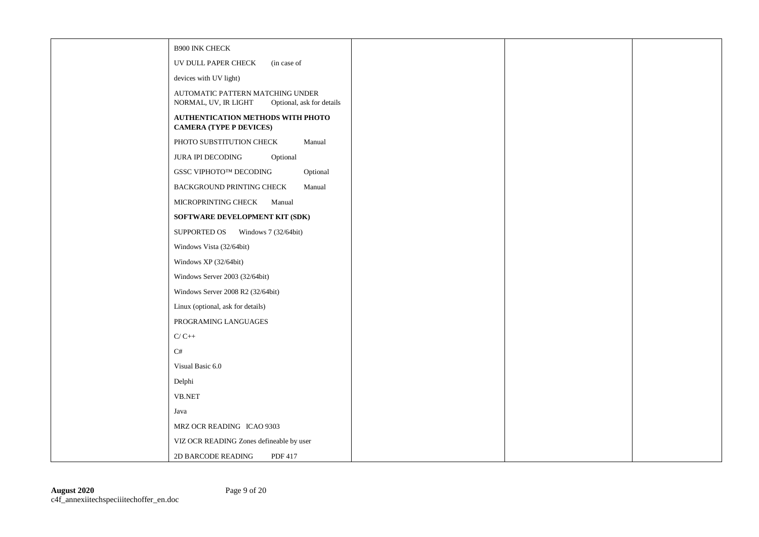| <b>B900 INK CHECK</b>                                                                 |  |  |
|---------------------------------------------------------------------------------------|--|--|
| UV DULL PAPER CHECK<br>(in case of                                                    |  |  |
| devices with UV light)                                                                |  |  |
| AUTOMATIC PATTERN MATCHING UNDER<br>NORMAL, UV, IR LIGHT<br>Optional, ask for details |  |  |
| AUTHENTICATION METHODS WITH PHOTO<br><b>CAMERA (TYPE P DEVICES)</b>                   |  |  |
| PHOTO SUBSTITUTION CHECK<br>Manual                                                    |  |  |
| <b>JURA IPI DECODING</b><br>Optional                                                  |  |  |
| GSSC VIPHOTO™ DECODING<br>Optional                                                    |  |  |
| BACKGROUND PRINTING CHECK<br>Manual                                                   |  |  |
| MICROPRINTING CHECK<br>Manual                                                         |  |  |
| SOFTWARE DEVELOPMENT KIT (SDK)                                                        |  |  |
| SUPPORTED OS Windows 7 (32/64bit)                                                     |  |  |
| Windows Vista (32/64bit)                                                              |  |  |
| Windows XP (32/64bit)                                                                 |  |  |
| Windows Server 2003 (32/64bit)                                                        |  |  |
| Windows Server 2008 R2 (32/64bit)                                                     |  |  |
| Linux (optional, ask for details)                                                     |  |  |
| PROGRAMING LANGUAGES                                                                  |  |  |
| $C/C++$                                                                               |  |  |
| $\mathrm{C}\#$                                                                        |  |  |
| Visual Basic 6.0                                                                      |  |  |
| Delphi                                                                                |  |  |
| <b>VB.NET</b>                                                                         |  |  |
| Java                                                                                  |  |  |
| MRZ OCR READING ICAO 9303                                                             |  |  |
| VIZ OCR READING Zones defineable by user                                              |  |  |
| PDF 417<br>2D BARCODE READING                                                         |  |  |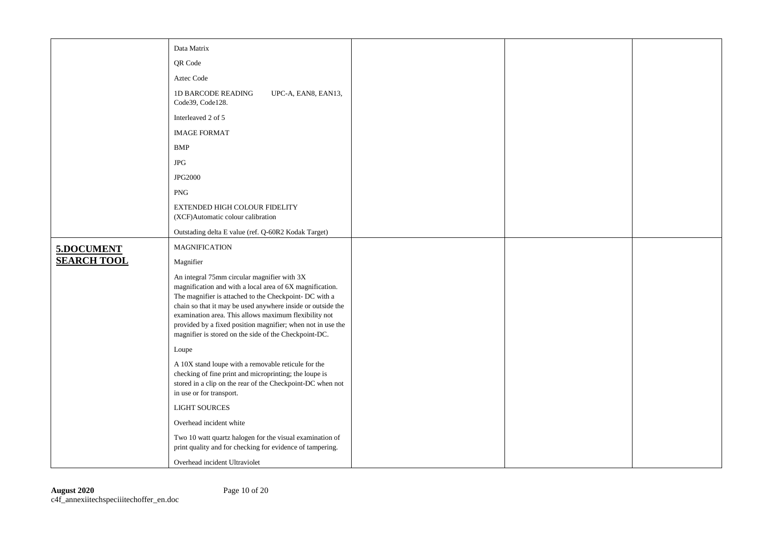|                    | Data Matrix                                                                                                                                                                                                                                                                                                                                                                                                       |  |  |
|--------------------|-------------------------------------------------------------------------------------------------------------------------------------------------------------------------------------------------------------------------------------------------------------------------------------------------------------------------------------------------------------------------------------------------------------------|--|--|
|                    | QR Code                                                                                                                                                                                                                                                                                                                                                                                                           |  |  |
|                    |                                                                                                                                                                                                                                                                                                                                                                                                                   |  |  |
|                    | Aztec Code                                                                                                                                                                                                                                                                                                                                                                                                        |  |  |
|                    | <b>1D BARCODE READING</b><br>UPC-A, EAN8, EAN13,<br>Code39, Code128.                                                                                                                                                                                                                                                                                                                                              |  |  |
|                    | Interleaved 2 of 5                                                                                                                                                                                                                                                                                                                                                                                                |  |  |
|                    | <b>IMAGE FORMAT</b>                                                                                                                                                                                                                                                                                                                                                                                               |  |  |
|                    | <b>BMP</b>                                                                                                                                                                                                                                                                                                                                                                                                        |  |  |
|                    | <b>JPG</b>                                                                                                                                                                                                                                                                                                                                                                                                        |  |  |
|                    | <b>JPG2000</b>                                                                                                                                                                                                                                                                                                                                                                                                    |  |  |
|                    | <b>PNG</b>                                                                                                                                                                                                                                                                                                                                                                                                        |  |  |
|                    | EXTENDED HIGH COLOUR FIDELITY<br>(XCF)Automatic colour calibration                                                                                                                                                                                                                                                                                                                                                |  |  |
|                    | Outstading delta E value (ref. Q-60R2 Kodak Target)                                                                                                                                                                                                                                                                                                                                                               |  |  |
| 5.DOCUMENT         | <b>MAGNIFICATION</b>                                                                                                                                                                                                                                                                                                                                                                                              |  |  |
| <b>SEARCH TOOL</b> | Magnifier                                                                                                                                                                                                                                                                                                                                                                                                         |  |  |
|                    | An integral 75mm circular magnifier with 3X<br>magnification and with a local area of 6X magnification.<br>The magnifier is attached to the Checkpoint- DC with a<br>chain so that it may be used anywhere inside or outside the<br>examination area. This allows maximum flexibility not<br>provided by a fixed position magnifier; when not in use the<br>magnifier is stored on the side of the Checkpoint-DC. |  |  |
|                    | Loupe                                                                                                                                                                                                                                                                                                                                                                                                             |  |  |
|                    | A 10X stand loupe with a removable reticule for the<br>checking of fine print and microprinting; the loupe is<br>stored in a clip on the rear of the Checkpoint-DC when not<br>in use or for transport.                                                                                                                                                                                                           |  |  |
|                    | <b>LIGHT SOURCES</b>                                                                                                                                                                                                                                                                                                                                                                                              |  |  |
|                    | Overhead incident white                                                                                                                                                                                                                                                                                                                                                                                           |  |  |
|                    | Two 10 watt quartz halogen for the visual examination of<br>print quality and for checking for evidence of tampering.                                                                                                                                                                                                                                                                                             |  |  |
|                    | Overhead incident Ultraviolet                                                                                                                                                                                                                                                                                                                                                                                     |  |  |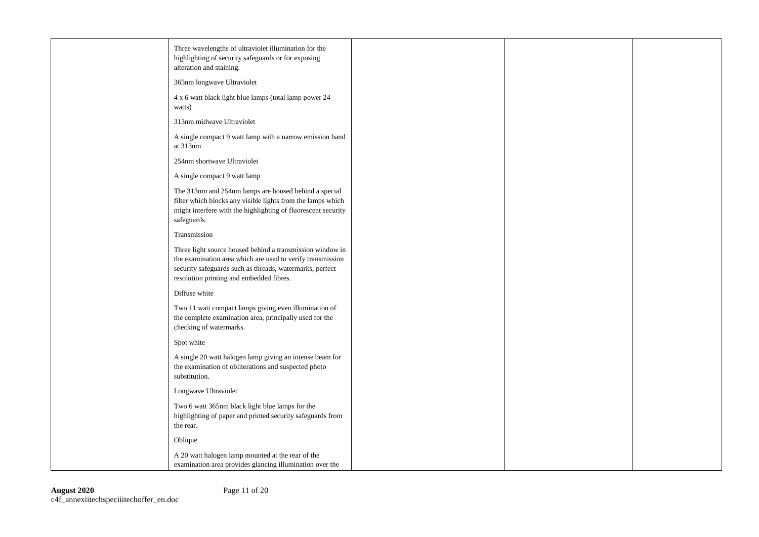| Three wavelengths of ultraviolet illumination for the<br>highlighting of security safeguards or for exposing<br>alteration and staining.                                                                                        |  |  |
|---------------------------------------------------------------------------------------------------------------------------------------------------------------------------------------------------------------------------------|--|--|
| 365nm longwave Ultraviolet                                                                                                                                                                                                      |  |  |
| 4 x 6 watt black light blue lamps (total lamp power 24<br>watts)                                                                                                                                                                |  |  |
| 313nm midwave Ultraviolet                                                                                                                                                                                                       |  |  |
| A single compact 9 watt lamp with a narrow emission band<br>at 313nm                                                                                                                                                            |  |  |
| 254nm shortwave Ultraviolet                                                                                                                                                                                                     |  |  |
| A single compact 9 watt lamp                                                                                                                                                                                                    |  |  |
| The 313nm and 254nm lamps are housed behind a special<br>filter which blocks any visible lights from the lamps which<br>might interfere with the highlighting of fluorescent security<br>safeguards.                            |  |  |
| Transmission                                                                                                                                                                                                                    |  |  |
| Three light source housed behind a transmission window in<br>the examination area which are used to verify transmission<br>security safeguards such as threads, watermarks, perfect<br>resolution printing and embedded fibres. |  |  |
| Diffuse white                                                                                                                                                                                                                   |  |  |
| Two 11 watt compact lamps giving even illumination of<br>the complete examination area, principally used for the<br>checking of watermarks.                                                                                     |  |  |
| Spot white                                                                                                                                                                                                                      |  |  |
| A single 20 watt halogen lamp giving an intense beam for<br>the examination of obliterations and suspected photo<br>substitution.                                                                                               |  |  |
| Longwave Ultraviolet                                                                                                                                                                                                            |  |  |
| Two 6 watt 365nm black light blue lamps for the<br>highlighting of paper and printed security safeguards from<br>the rear.                                                                                                      |  |  |
| Oblique                                                                                                                                                                                                                         |  |  |
| A 20 watt halogen lamp mounted at the rear of the<br>examination area provides glancing illumination over the                                                                                                                   |  |  |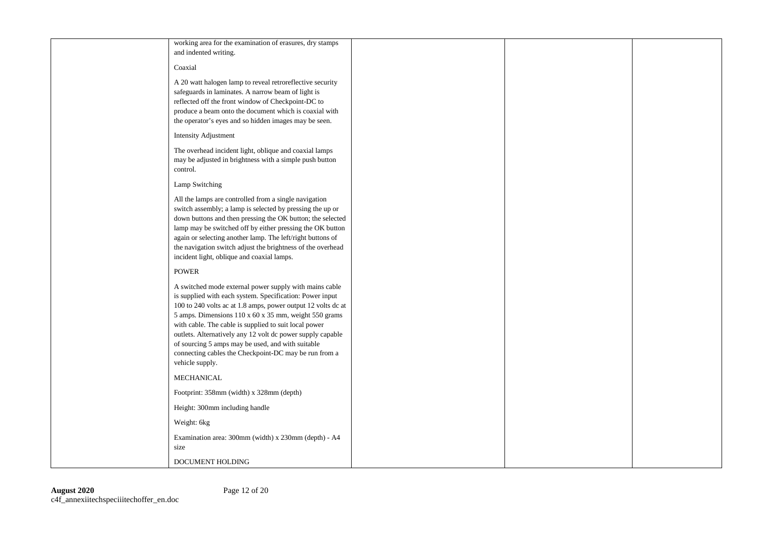| working area for the examination of erasures, dry stamps<br>and indented writing.                                                                                                                                                                                                                                                                                                                                                                                                                   |  |  |
|-----------------------------------------------------------------------------------------------------------------------------------------------------------------------------------------------------------------------------------------------------------------------------------------------------------------------------------------------------------------------------------------------------------------------------------------------------------------------------------------------------|--|--|
| Coaxial                                                                                                                                                                                                                                                                                                                                                                                                                                                                                             |  |  |
| A 20 watt halogen lamp to reveal retroreflective security<br>safeguards in laminates. A narrow beam of light is<br>reflected off the front window of Checkpoint-DC to<br>produce a beam onto the document which is coaxial with<br>the operator's eyes and so hidden images may be seen.                                                                                                                                                                                                            |  |  |
| <b>Intensity Adjustment</b>                                                                                                                                                                                                                                                                                                                                                                                                                                                                         |  |  |
| The overhead incident light, oblique and coaxial lamps<br>may be adjusted in brightness with a simple push button<br>control.                                                                                                                                                                                                                                                                                                                                                                       |  |  |
| Lamp Switching                                                                                                                                                                                                                                                                                                                                                                                                                                                                                      |  |  |
| All the lamps are controlled from a single navigation<br>switch assembly; a lamp is selected by pressing the up or<br>down buttons and then pressing the OK button; the selected<br>lamp may be switched off by either pressing the OK button<br>again or selecting another lamp. The left/right buttons of<br>the navigation switch adjust the brightness of the overhead<br>incident light, oblique and coaxial lamps.                                                                            |  |  |
| <b>POWER</b>                                                                                                                                                                                                                                                                                                                                                                                                                                                                                        |  |  |
| A switched mode external power supply with mains cable<br>is supplied with each system. Specification: Power input<br>100 to 240 volts ac at 1.8 amps, power output 12 volts dc at<br>5 amps. Dimensions 110 x 60 x 35 mm, weight 550 grams<br>with cable. The cable is supplied to suit local power<br>outlets. Alternatively any 12 volt dc power supply capable<br>of sourcing 5 amps may be used, and with suitable<br>connecting cables the Checkpoint-DC may be run from a<br>vehicle supply. |  |  |
| MECHANICAL                                                                                                                                                                                                                                                                                                                                                                                                                                                                                          |  |  |
| Footprint: 358mm (width) x 328mm (depth)                                                                                                                                                                                                                                                                                                                                                                                                                                                            |  |  |
| Height: 300mm including handle                                                                                                                                                                                                                                                                                                                                                                                                                                                                      |  |  |
| Weight: 6kg                                                                                                                                                                                                                                                                                                                                                                                                                                                                                         |  |  |
| Examination area: 300mm (width) x 230mm (depth) - A4<br>size                                                                                                                                                                                                                                                                                                                                                                                                                                        |  |  |
| DOCUMENT HOLDING                                                                                                                                                                                                                                                                                                                                                                                                                                                                                    |  |  |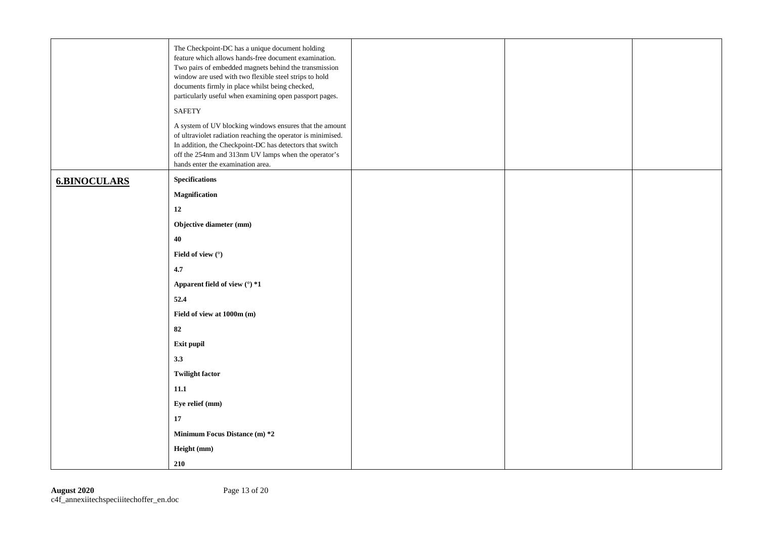|                     | The Checkpoint-DC has a unique document holding<br>feature which allows hands-free document examination.<br>Two pairs of embedded magnets behind the transmission<br>window are used with two flexible steel strips to hold<br>documents firmly in place whilst being checked,<br>particularly useful when examining open passport pages.<br><b>SAFETY</b><br>A system of UV blocking windows ensures that the amount<br>of ultraviolet radiation reaching the operator is minimised.<br>In addition, the Checkpoint-DC has detectors that switch<br>off the 254nm and 313nm UV lamps when the operator's<br>hands enter the examination area. |  |  |
|---------------------|------------------------------------------------------------------------------------------------------------------------------------------------------------------------------------------------------------------------------------------------------------------------------------------------------------------------------------------------------------------------------------------------------------------------------------------------------------------------------------------------------------------------------------------------------------------------------------------------------------------------------------------------|--|--|
| <b>6.BINOCULARS</b> | <b>Specifications</b>                                                                                                                                                                                                                                                                                                                                                                                                                                                                                                                                                                                                                          |  |  |
|                     | Magnification                                                                                                                                                                                                                                                                                                                                                                                                                                                                                                                                                                                                                                  |  |  |
|                     | 12                                                                                                                                                                                                                                                                                                                                                                                                                                                                                                                                                                                                                                             |  |  |
|                     | Objective diameter (mm)                                                                                                                                                                                                                                                                                                                                                                                                                                                                                                                                                                                                                        |  |  |
|                     | 40                                                                                                                                                                                                                                                                                                                                                                                                                                                                                                                                                                                                                                             |  |  |
|                     | Field of view (°)                                                                                                                                                                                                                                                                                                                                                                                                                                                                                                                                                                                                                              |  |  |
|                     | 4.7                                                                                                                                                                                                                                                                                                                                                                                                                                                                                                                                                                                                                                            |  |  |
|                     | Apparent field of view (°) *1                                                                                                                                                                                                                                                                                                                                                                                                                                                                                                                                                                                                                  |  |  |
|                     | 52.4                                                                                                                                                                                                                                                                                                                                                                                                                                                                                                                                                                                                                                           |  |  |
|                     | Field of view at 1000m (m)                                                                                                                                                                                                                                                                                                                                                                                                                                                                                                                                                                                                                     |  |  |
|                     | 82                                                                                                                                                                                                                                                                                                                                                                                                                                                                                                                                                                                                                                             |  |  |
|                     | Exit pupil                                                                                                                                                                                                                                                                                                                                                                                                                                                                                                                                                                                                                                     |  |  |
|                     | 3.3                                                                                                                                                                                                                                                                                                                                                                                                                                                                                                                                                                                                                                            |  |  |
|                     | <b>Twilight factor</b>                                                                                                                                                                                                                                                                                                                                                                                                                                                                                                                                                                                                                         |  |  |
|                     | 11.1                                                                                                                                                                                                                                                                                                                                                                                                                                                                                                                                                                                                                                           |  |  |
|                     | Eye relief (mm)                                                                                                                                                                                                                                                                                                                                                                                                                                                                                                                                                                                                                                |  |  |
|                     | 17                                                                                                                                                                                                                                                                                                                                                                                                                                                                                                                                                                                                                                             |  |  |
|                     | Minimum Focus Distance (m) *2                                                                                                                                                                                                                                                                                                                                                                                                                                                                                                                                                                                                                  |  |  |
|                     | Height (mm)                                                                                                                                                                                                                                                                                                                                                                                                                                                                                                                                                                                                                                    |  |  |
|                     | 210                                                                                                                                                                                                                                                                                                                                                                                                                                                                                                                                                                                                                                            |  |  |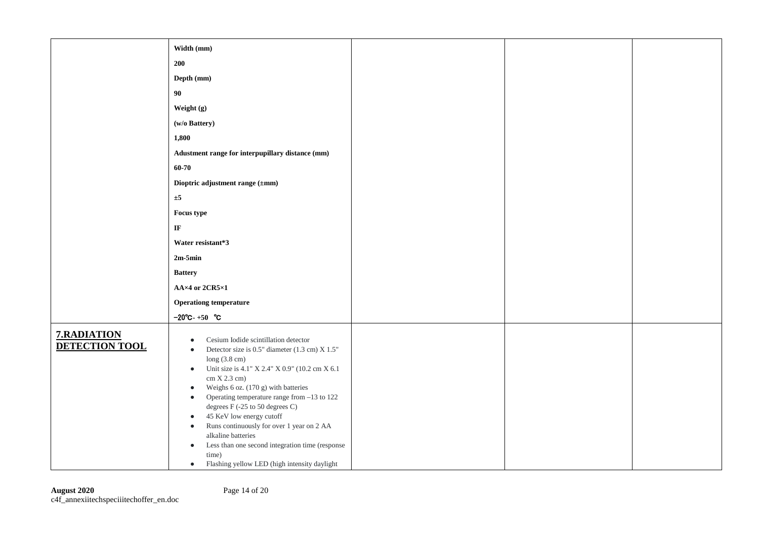|                                      | Width (mm)                                                                                                                                                                                                                                                                                                                                                                                                                                                                                                                                                                                                                                     |  |  |
|--------------------------------------|------------------------------------------------------------------------------------------------------------------------------------------------------------------------------------------------------------------------------------------------------------------------------------------------------------------------------------------------------------------------------------------------------------------------------------------------------------------------------------------------------------------------------------------------------------------------------------------------------------------------------------------------|--|--|
|                                      | 200                                                                                                                                                                                                                                                                                                                                                                                                                                                                                                                                                                                                                                            |  |  |
|                                      | Depth (mm)                                                                                                                                                                                                                                                                                                                                                                                                                                                                                                                                                                                                                                     |  |  |
|                                      | 90                                                                                                                                                                                                                                                                                                                                                                                                                                                                                                                                                                                                                                             |  |  |
|                                      | Weight (g)                                                                                                                                                                                                                                                                                                                                                                                                                                                                                                                                                                                                                                     |  |  |
|                                      | (w/o Battery)                                                                                                                                                                                                                                                                                                                                                                                                                                                                                                                                                                                                                                  |  |  |
|                                      | 1,800                                                                                                                                                                                                                                                                                                                                                                                                                                                                                                                                                                                                                                          |  |  |
|                                      | Adustment range for interpupillary distance (mm)                                                                                                                                                                                                                                                                                                                                                                                                                                                                                                                                                                                               |  |  |
|                                      | $60 - 70$                                                                                                                                                                                                                                                                                                                                                                                                                                                                                                                                                                                                                                      |  |  |
|                                      | Dioptric adjustment range (±mm)                                                                                                                                                                                                                                                                                                                                                                                                                                                                                                                                                                                                                |  |  |
|                                      | ±5                                                                                                                                                                                                                                                                                                                                                                                                                                                                                                                                                                                                                                             |  |  |
|                                      | Focus type                                                                                                                                                                                                                                                                                                                                                                                                                                                                                                                                                                                                                                     |  |  |
|                                      | $\bf I\bf F$                                                                                                                                                                                                                                                                                                                                                                                                                                                                                                                                                                                                                                   |  |  |
|                                      | Water resistant*3                                                                                                                                                                                                                                                                                                                                                                                                                                                                                                                                                                                                                              |  |  |
|                                      | $2m-5min$                                                                                                                                                                                                                                                                                                                                                                                                                                                                                                                                                                                                                                      |  |  |
|                                      | <b>Battery</b>                                                                                                                                                                                                                                                                                                                                                                                                                                                                                                                                                                                                                                 |  |  |
|                                      | AA×4 or 2CR5×1                                                                                                                                                                                                                                                                                                                                                                                                                                                                                                                                                                                                                                 |  |  |
|                                      | <b>Operationg temperature</b>                                                                                                                                                                                                                                                                                                                                                                                                                                                                                                                                                                                                                  |  |  |
|                                      | $-20^{\circ}$ C-+50 $^{\circ}$ C                                                                                                                                                                                                                                                                                                                                                                                                                                                                                                                                                                                                               |  |  |
| 7.RADIATION<br><b>DETECTION TOOL</b> | Cesium Iodide scintillation detector<br>$\bullet$<br>Detector size is 0.5" diameter (1.3 cm) X $1.5"$<br>$\bullet$<br>long $(3.8 \text{ cm})$<br>Unit size is 4.1" X 2.4" X 0.9" (10.2 cm X 6.1<br>$\bullet$<br>cm X 2.3 cm)<br>Weighs 6 oz. (170 g) with batteries<br>$\bullet$<br>Operating temperature range from -13 to 122<br>$\bullet$<br>degrees F (-25 to 50 degrees C)<br>45 KeV low energy cutoff<br>$\bullet$<br>Runs continuously for over 1 year on 2 AA<br>$\bullet$<br>alkaline batteries<br>Less than one second integration time (response<br>$\bullet$<br>time)<br>Flashing yellow LED (high intensity daylight<br>$\bullet$ |  |  |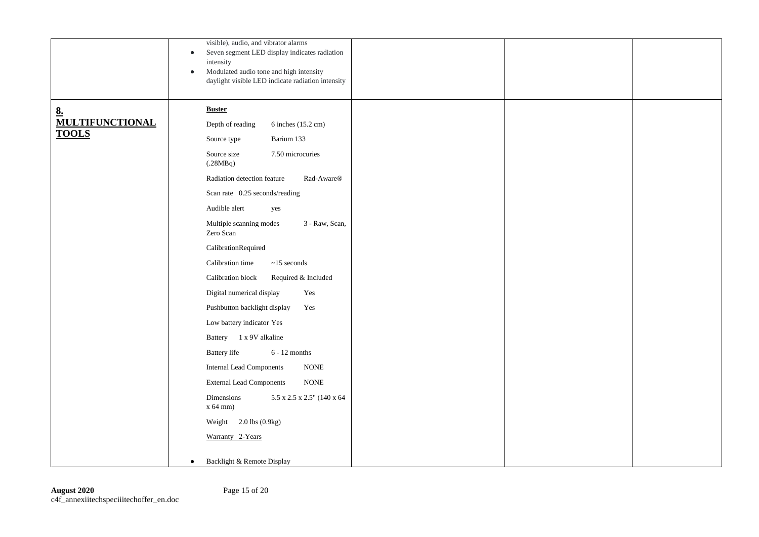|                                              | visible), audio, and vibrator alarms<br>Seven segment LED display indicates radiation<br>$\bullet$<br>intensity<br>Modulated audio tone and high intensity<br>$\bullet$<br>daylight visible LED indicate radiation intensity                                                                                                                                                                                                                                                                                                                                                                                                                                                                                                                                                                                                                                          |  |  |
|----------------------------------------------|-----------------------------------------------------------------------------------------------------------------------------------------------------------------------------------------------------------------------------------------------------------------------------------------------------------------------------------------------------------------------------------------------------------------------------------------------------------------------------------------------------------------------------------------------------------------------------------------------------------------------------------------------------------------------------------------------------------------------------------------------------------------------------------------------------------------------------------------------------------------------|--|--|
| 8.<br><b>MULTIFUNCTIONAL</b><br><b>TOOLS</b> | <b>Buster</b><br>Depth of reading<br>6 inches (15.2 cm)<br>Barium 133<br>Source type<br>7.50 microcuries<br>Source size<br>(.28MBq)<br>Radiation detection feature<br>Rad-Aware <sup>®</sup><br>Scan rate 0.25 seconds/reading<br>Audible alert<br>yes<br>Multiple scanning modes<br>3 - Raw, Scan,<br>Zero Scan<br>CalibrationRequired<br>Calibration time<br>$\sim\!\!15$ seconds<br>Calibration block<br>Required & Included<br>Digital numerical display<br>Yes<br>Pushbutton backlight display<br>Yes<br>Low battery indicator Yes<br>Battery 1 x 9V alkaline<br><b>Battery</b> life<br>$6 - 12$ months<br><b>Internal Lead Components</b><br>$\rm{NONE}$<br><b>External Lead Components</b><br>$\rm{NONE}$<br>5.5 x 2.5 x 2.5" (140 x 64<br>Dimensions<br>x 64 mm)<br>Weight $2.0$ lbs $(0.9kg)$<br>Warranty 2-Years<br>Backlight & Remote Display<br>$\bullet$ |  |  |
|                                              |                                                                                                                                                                                                                                                                                                                                                                                                                                                                                                                                                                                                                                                                                                                                                                                                                                                                       |  |  |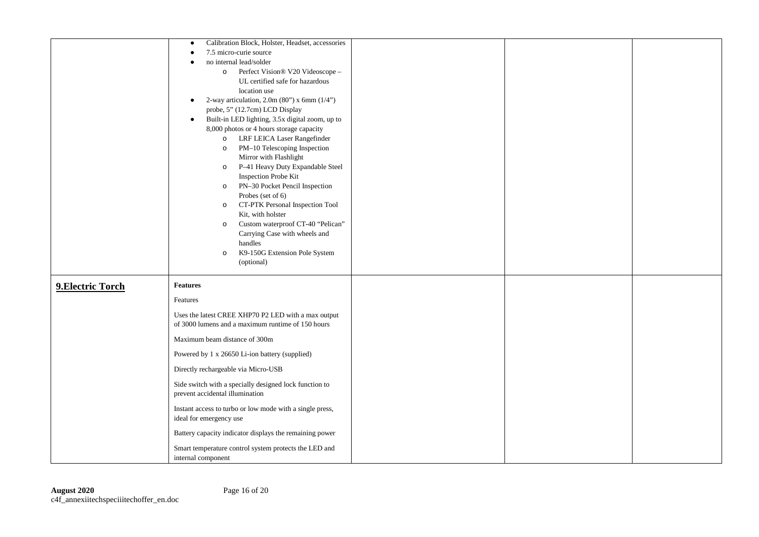|                   | Calibration Block, Holster, Headset, accessories<br>$\bullet$<br>7.5 micro-curie source<br>no internal lead/solder<br>o Perfect Vision® V20 Videoscope -<br>UL certified safe for hazardous<br>location use<br>2-way articulation, $2.0m(80")$ x 6mm $(1/4")$<br>$\bullet$<br>probe, 5" (12.7cm) LCD Display<br>Built-in LED lighting, 3.5x digital zoom, up to<br>$\bullet$<br>8,000 photos or 4 hours storage capacity<br>o LRF LEICA Laser Rangefinder<br>PM-10 Telescoping Inspection<br>$\circ$<br>Mirror with Flashlight<br>P-41 Heavy Duty Expandable Steel<br>$\circ$<br>Inspection Probe Kit<br>PN-30 Pocket Pencil Inspection<br>$\circ$<br>Probes (set of 6)<br>CT-PTK Personal Inspection Tool<br>$\circ$<br>Kit, with holster<br>Custom waterproof CT-40 "Pelican"<br>$\circ$<br>Carrying Case with wheels and<br>handles<br>K9-150G Extension Pole System<br>$\circ$<br>(optional) |  |  |
|-------------------|--------------------------------------------------------------------------------------------------------------------------------------------------------------------------------------------------------------------------------------------------------------------------------------------------------------------------------------------------------------------------------------------------------------------------------------------------------------------------------------------------------------------------------------------------------------------------------------------------------------------------------------------------------------------------------------------------------------------------------------------------------------------------------------------------------------------------------------------------------------------------------------------------|--|--|
| 9. Electric Torch | <b>Features</b><br>Features<br>Uses the latest CREE XHP70 P2 LED with a max output<br>of 3000 lumens and a maximum runtime of 150 hours<br>Maximum beam distance of 300m<br>Powered by 1 x 26650 Li-ion battery (supplied)<br>Directly rechargeable via Micro-USB<br>Side switch with a specially designed lock function to<br>prevent accidental illumination<br>Instant access to turbo or low mode with a single press,<br>ideal for emergency use<br>Battery capacity indicator displays the remaining power<br>Smart temperature control system protects the LED and<br>internal component                                                                                                                                                                                                                                                                                                  |  |  |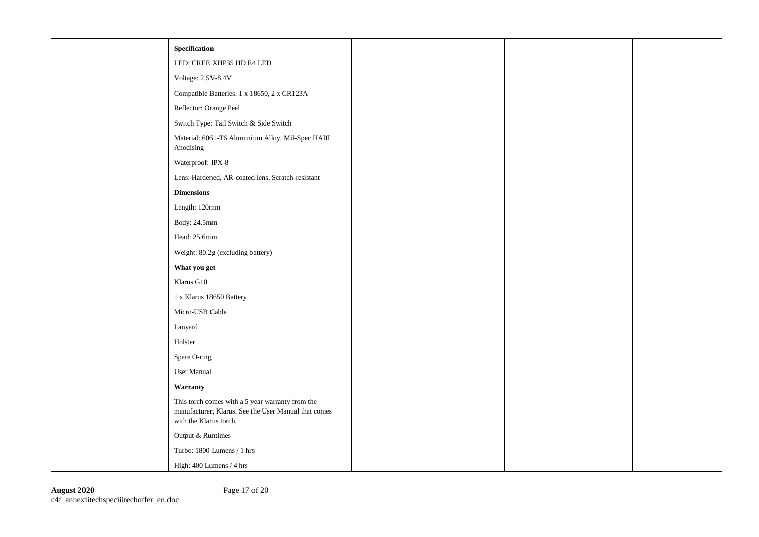| Specification                                                                                                                      |  |  |
|------------------------------------------------------------------------------------------------------------------------------------|--|--|
| LED: CREE XHP35 HD E4 LED                                                                                                          |  |  |
| Voltage: 2.5V-8.4V                                                                                                                 |  |  |
| Compatible Batteries: 1 x 18650, 2 x CR123A                                                                                        |  |  |
| Reflector: Orange Peel                                                                                                             |  |  |
| Switch Type: Tail Switch & Side Switch                                                                                             |  |  |
| Material: 6061-T6 Aluminium Alloy, Mil-Spec HAIII<br>Anodising                                                                     |  |  |
| Waterproof: IPX-8                                                                                                                  |  |  |
| Lens: Hardened, AR-coated lens, Scratch-resistant                                                                                  |  |  |
| <b>Dimensions</b>                                                                                                                  |  |  |
| Length: 120mm                                                                                                                      |  |  |
| Body: 24.5mm                                                                                                                       |  |  |
| Head: 25.6mm                                                                                                                       |  |  |
| Weight: 80.2g (excluding battery)                                                                                                  |  |  |
| What you get                                                                                                                       |  |  |
| Klarus G10                                                                                                                         |  |  |
| 1 x Klarus 18650 Battery                                                                                                           |  |  |
| Micro-USB Cable                                                                                                                    |  |  |
| Lanyard                                                                                                                            |  |  |
| Holster                                                                                                                            |  |  |
| Spare O-ring                                                                                                                       |  |  |
| <b>User Manual</b>                                                                                                                 |  |  |
| Warranty                                                                                                                           |  |  |
| This torch comes with a 5 year warranty from the<br>manufacturer, Klarus. See the User Manual that comes<br>with the Klarus torch. |  |  |
| Output & Runtimes                                                                                                                  |  |  |
| Turbo: 1800 Lumens / 1 hrs                                                                                                         |  |  |
| High: 400 Lumens / 4 hrs                                                                                                           |  |  |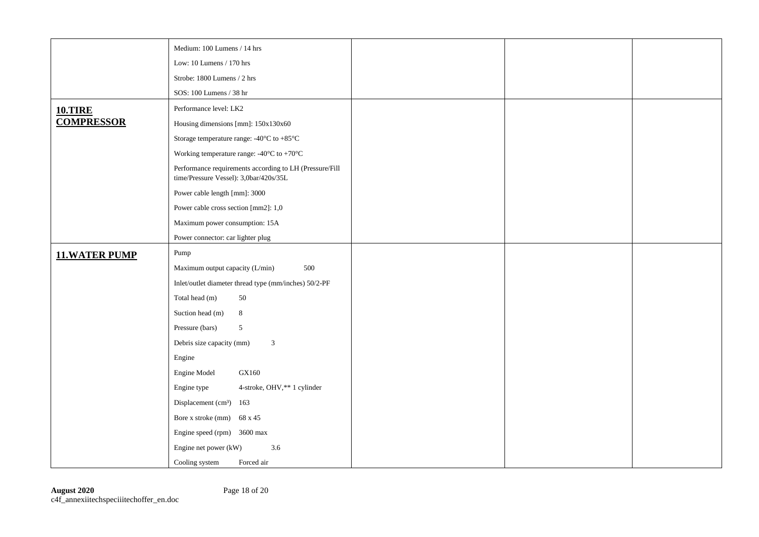|                      | Medium: 100 Lumens / 14 hrs                                     |
|----------------------|-----------------------------------------------------------------|
|                      | Low: 10 Lumens / 170 hrs                                        |
|                      | Strobe: 1800 Lumens / 2 hrs                                     |
|                      | SOS: 100 Lumens / 38 hr                                         |
| <b>10.TIRE</b>       | Performance level: LK2                                          |
| <b>COMPRESSOR</b>    | Housing dimensions [mm]: 150x130x60                             |
|                      | Storage temperature range: -40 $^{\circ}$ C to +85 $^{\circ}$ C |
|                      | Working temperature range: -40 $^{\circ}$ C to +70 $^{\circ}$ C |
|                      | Performance requirements according to LH (Pressure/Fill         |
|                      | time/Pressure Vessel): 3,0bar/420s/35L                          |
|                      | Power cable length [mm]: 3000                                   |
|                      | Power cable cross section [mm2]: 1,0                            |
|                      | Maximum power consumption: 15A                                  |
|                      | Power connector: car lighter plug                               |
| <b>11.WATER PUMP</b> | Pump                                                            |
|                      | Maximum output capacity (L/min)<br>500                          |
|                      | Inlet/outlet diameter thread type (mm/inches) 50/2-PF           |
|                      | Total head (m)<br>50                                            |
|                      | $8\,$<br>Suction head (m)                                       |
|                      | Pressure (bars)<br>$\overline{5}$                               |
|                      | $\overline{3}$<br>Debris size capacity (mm)                     |
|                      | Engine                                                          |
|                      | Engine Model<br>GX160                                           |
|                      | Engine type<br>4-stroke, OHV,** 1 cylinder                      |
|                      | Displacement (cm <sup>3</sup> ) 163                             |
|                      | Bore x stroke (mm) $68 \times 45$                               |
|                      | Engine speed (rpm) 3600 max                                     |
|                      | Engine net power (kW)<br>3.6                                    |
|                      | Cooling system<br>Forced air                                    |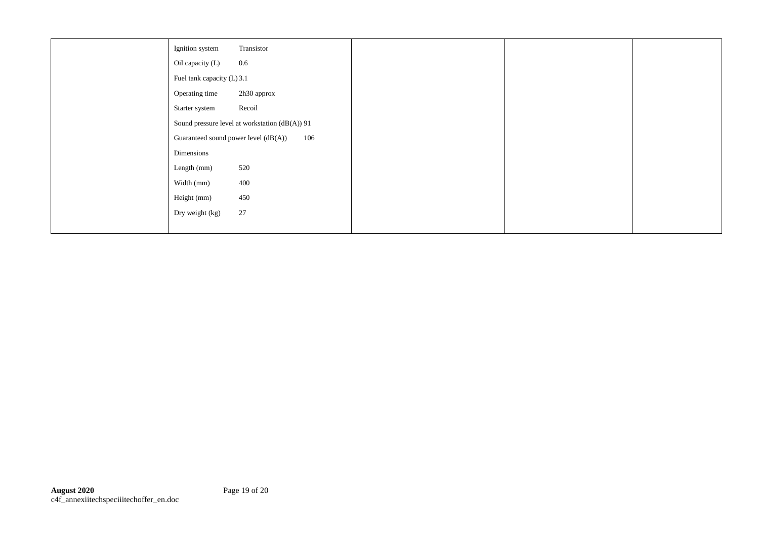| Transistor<br>Ignition system                  |  |
|------------------------------------------------|--|
| $0.6\,$<br>Oil capacity (L)                    |  |
| Fuel tank capacity (L) 3.1                     |  |
| Operating time<br>2h30 approx                  |  |
| Recoil<br>Starter system                       |  |
| Sound pressure level at workstation (dB(A)) 91 |  |
| Guaranteed sound power level (dB(A))<br>106    |  |
| Dimensions                                     |  |
| 520<br>Length (mm)                             |  |
| 400<br>Width (mm)                              |  |
| 450<br>Height (mm)                             |  |
| 27<br>Dry weight (kg)                          |  |
|                                                |  |